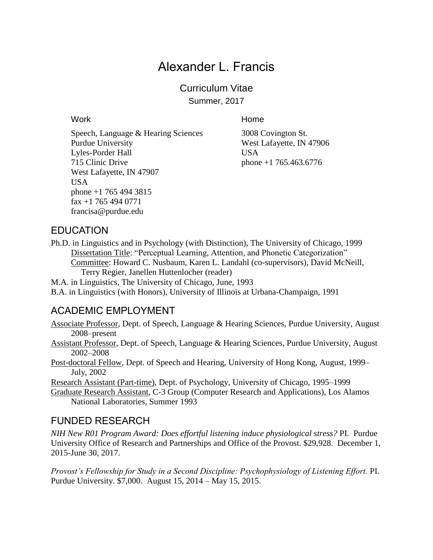# Alexander L. Francis

Curriculum Vitae Summer, 2017

Speech, Language & Hearing Sciences 3008 Covington St. Purdue University West Lafayette, IN 47906 Lyles-Porder Hall USA 715 Clinic Drive phone +1 765.463.6776 West Lafayette, IN 47907 USA phone +1 765 494 3815 fax +1 765 494 0771 francisa@purdue.edu

Work **Music Community Community Community** Home

### EDUCATION

Ph.D. in Linguistics and in Psychology (with Distinction), The University of Chicago, 1999 Dissertation Title: "Perceptual Learning, Attention, and Phonetic Categorization" Committee: Howard C. Nusbaum, Karen L. Landahl (co-supervisors), David McNeill, Terry Regier, Janellen Huttenlocher (reader)

M.A. in Linguistics, The University of Chicago, June, 1993

B.A. in Linguistics (with Honors), University of Illinois at Urbana-Champaign, 1991

### ACADEMIC EMPLOYMENT

Associate Professor, Dept. of Speech, Language & Hearing Sciences, Purdue University, August 2008–present

Assistant Professor, Dept. of Speech, Language & Hearing Sciences, Purdue University, August 2002–2008

Post-doctoral Fellow, Dept. of Speech and Hearing, University of Hong Kong, August, 1999– July, 2002

Research Assistant (Part-time), Dept. of Psychology, University of Chicago, 1995–1999

Graduate Research Assistant, C-3 Group (Computer Research and Applications), Los Alamos National Laboratories, Summer 1993

### FUNDED RESEARCH

*NIH New R01 Program Award: Does effortful listening induce physiological stress?* PI. Purdue University Office of Research and Partnerships and Office of the Provost. \$29,928. December 1, 2015-June 30, 2017.

*Provost's Fellowship for Study in a Second Discipline: Psychophysiology of Listening Effort.* PI. Purdue University. \$7,000. August 15, 2014 – May 15, 2015.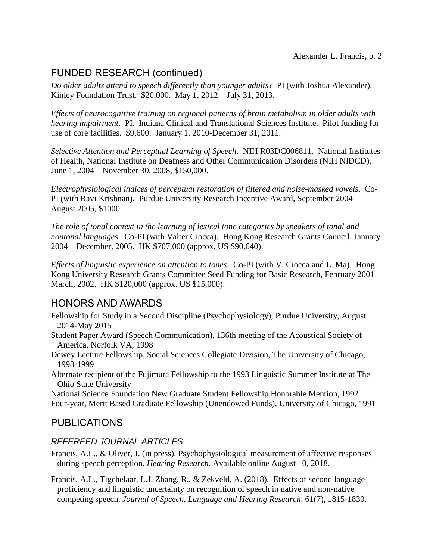## FUNDED RESEARCH (continued)

*Do older adults attend to speech differently than younger adults?* PI (with Joshua Alexander). Kinley Foundation Trust. \$20,000. May 1, 2012 – July 31, 2013.

*Effects of neurocognitive training on regional patterns of brain metabolism in older adults with hearing impairment.* PI. Indiana Clinical and Translational Sciences Institute. Pilot funding for use of core facilities. \$9,600. January 1, 2010-December 31, 2011.

*Selective Attention and Perceptual Learning of Speech*. NIH R03DC006811. National Institutes of Health, National Institute on Deafness and Other Communication Disorders (NIH NIDCD), June 1, 2004 – November 30, 2008, \$150,000.

*Electrophysiological indices of perceptual restoration of filtered and noise-masked vowels*. Co-PI (with Ravi Krishnan). Purdue University Research Incentive Award, September 2004 – August 2005, \$1000.

*The role of tonal context in the learning of lexical tone categories by speakers of tonal and nontonal languages*. Co-PI (with Valter Ciocca). Hong Kong Research Grants Council, January 2004 – December, 2005. HK \$707,000 (approx. US \$90,640).

*Effects of linguistic experience on attention to tones*. Co-PI (with V. Ciocca and L. Ma). Hong Kong University Research Grants Committee Seed Funding for Basic Research, February 2001 – March, 2002. HK \$120,000 (approx. US \$15,000).

## HONORS AND AWARDS

- Fellowship for Study in a Second Discipline (Psychophysiology), Purdue University, August 2014-May 2015
- Student Paper Award (Speech Communication), 136th meeting of the Acoustical Society of America, Norfolk VA, 1998
- Dewey Lecture Fellowship, Social Sciences Collegiate Division, The University of Chicago, 1998-1999
- Alternate recipient of the Fujimura Fellowship to the 1993 Linguistic Summer Institute at The Ohio State University

National Science Foundation New Graduate Student Fellowship Honorable Mention, 1992 Four-year, Merit Based Graduate Fellowship (Unendowed Funds), University of Chicago, 1991

## PUBLICATIONS

#### *REFEREED JOURNAL ARTICLES*

- Francis, A.L., & Oliver, J. (in press). Psychophysiological measurement of affective responses during speech perception. *Hearing Research*. Available online August 10, 2018.
- Francis, A.L., Tigchelaar, L.J. Zhang, R., & Zekveld, A. (2018). Effects of second language proficiency and linguistic uncertainty on recognition of speech in native and non-native competing speech. *Journal of Speech, Language and Hearing Research*, 61(7), 1815-1830.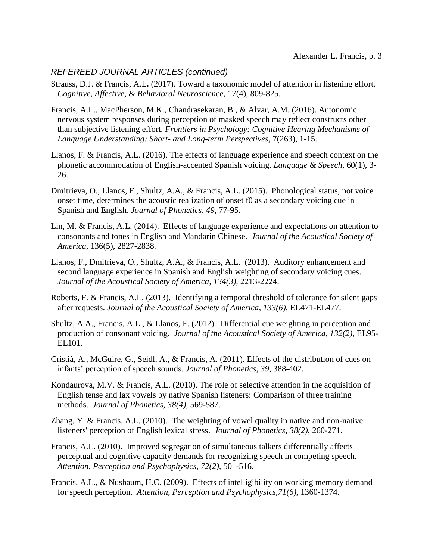#### *REFEREED JOURNAL ARTICLES (continued)*

- Strauss, D.J. & Francis, A.L**.** (2017). Toward a taxonomic model of attention in listening effort. *Cognitive, Affective, & Behavioral Neuroscience,* 17(4), 809-825.
- Francis, A.L., MacPherson, M.K., Chandrasekaran, B., & Alvar, A.M. (2016). Autonomic nervous system responses during perception of masked speech may reflect constructs other than subjective listening effort. *Frontiers in Psychology: Cognitive Hearing Mechanisms of Language Understanding: Short- and Long-term Perspectives*, 7(263), 1-15.
- Llanos, F. & Francis, A.L. (2016). The effects of language experience and speech context on the phonetic accommodation of English-accented Spanish voicing. *Language & Speech*, 60(1), 3- 26.
- Dmitrieva, O., Llanos, F., Shultz, A.A., & Francis, A.L. (2015). Phonological status, not voice onset time, determines the acoustic realization of onset f0 as a secondary voicing cue in Spanish and English. *Journal of Phonetics*, *49*, 77-95.
- Lin, M. & Francis, A.L. (2014). Effects of language experience and expectations on attention to consonants and tones in English and Mandarin Chinese. *Journal of the Acoustical Society of America*, 136(5), 2827-2838*.*
- Llanos, F., Dmitrieva, O., Shultz, A.A., & Francis, A.L. (2013). Auditory enhancement and second language experience in Spanish and English weighting of secondary voicing cues. *Journal of the Acoustical Society of America, 134(3),* 2213-2224.
- Roberts, F. & Francis, A.L. (2013). Identifying a temporal threshold of tolerance for silent gaps after requests. *Journal of the Acoustical Society of America, 133(6),* EL471-EL477.
- Shultz, A.A., Francis, A.L., & Llanos, F. (2012). Differential cue weighting in perception and production of consonant voicing. *Journal of the Acoustical Society of America, 132(2),* EL95- EL101.
- Cristià, A., McGuire, G., Seidl, A., & Francis, A. (2011). Effects of the distribution of cues on infants' perception of speech sounds. *Journal of Phonetics, 39*, 388-402.
- Kondaurova, M.V. & Francis, A.L. (2010). The role of selective attention in the acquisition of English tense and lax vowels by native Spanish listeners: Comparison of three training methods. *Journal of Phonetics, 38(4)*, 569-587.
- Zhang, Y. & Francis, A.L. (2010). The weighting of vowel quality in native and non-native listeners' perception of English lexical stress. *Journal of Phonetics*, *38(2),* 260-271.
- Francis, A.L. (2010). Improved segregation of simultaneous talkers differentially affects perceptual and cognitive capacity demands for recognizing speech in competing speech. *Attention, Perception and Psychophysics, 72(2),* 501-516.
- Francis, A.L., & Nusbaum, H.C. (2009). Effects of intelligibility on working memory demand for speech perception. *Attention, Perception and Psychophysics,71(6),* 1360-1374.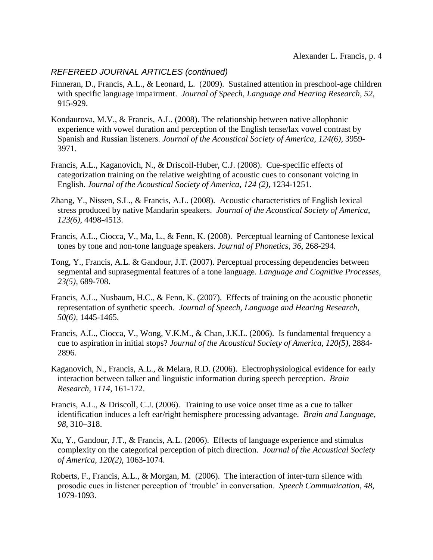#### *REFEREED JOURNAL ARTICLES (continued)*

- Finneran, D., Francis, A.L., & Leonard, L. (2009). Sustained attention in preschool-age children with specific language impairment. *Journal of Speech, Language and Hearing Research*, *52*, 915-929.
- Kondaurova, M.V., & Francis, A.L. (2008). The relationship between native allophonic experience with vowel duration and perception of the English tense/lax vowel contrast by Spanish and Russian listeners. *Journal of the Acoustical Society of America*, *124(6),* 3959- 3971.
- Francis, A.L., Kaganovich, N., & Driscoll-Huber, C.J. (2008). Cue-specific effects of categorization training on the relative weighting of acoustic cues to consonant voicing in English. *Journal of the Acoustical Society of America*, *124 (2),* 1234-1251.
- Zhang, Y., Nissen, S.L., & Francis, A.L. (2008). Acoustic characteristics of English lexical stress produced by native Mandarin speakers. *Journal of the Acoustical Society of America*, *123(6)*, 4498-4513.
- Francis, A.L., Ciocca, V., Ma, L., & Fenn, K. (2008). Perceptual learning of Cantonese lexical tones by tone and non-tone language speakers. *Journal of Phonetics*, *36*, 268-294.
- Tong, Y., Francis, A.L. & Gandour, J.T. (2007). Perceptual processing dependencies between segmental and suprasegmental features of a tone language. *Language and Cognitive Processes*, *23(5),* 689-708.
- Francis, A.L., Nusbaum, H.C., & Fenn, K. (2007). Effects of training on the acoustic phonetic representation of synthetic speech. *Journal of Speech, Language and Hearing Research*, *50(6),* 1445-1465.
- Francis, A.L., Ciocca, V., Wong, V.K.M., & Chan, J.K.L. (2006). Is fundamental frequency a cue to aspiration in initial stops? *Journal of the Acoustical Society of America, 120(5)*, 2884- 2896.
- Kaganovich, N., Francis, A.L., & Melara, R.D. (2006). Electrophysiological evidence for early interaction between talker and linguistic information during speech perception. *Brain Research, 1114*, 161-172.
- Francis, A.L., & Driscoll, C.J. (2006). Training to use voice onset time as a cue to talker identification induces a left ear/right hemisphere processing advantage. *Brain and Language, 98*, 310–318.
- Xu, Y., Gandour, J.T., & Francis, A.L. (2006). Effects of language experience and stimulus complexity on the categorical perception of pitch direction. *Journal of the Acoustical Society of America*, *120(2)*, 1063-1074.
- Roberts, F., Francis, A.L., & Morgan, M. (2006). The interaction of inter-turn silence with prosodic cues in listener perception of 'trouble' in conversation. *Speech Communication*, *48*, 1079-1093.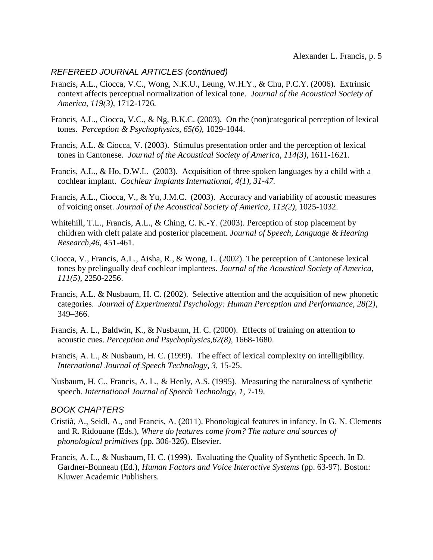#### *REFEREED JOURNAL ARTICLES (continued)*

- Francis, A.L., Ciocca, V.C., Wong, N.K.U., Leung, W.H.Y., & Chu, P.C.Y. (2006). Extrinsic context affects perceptual normalization of lexical tone. *Journal of the Acoustical Society of America, 119(3),* 1712-1726*.*
- Francis, A.L., Ciocca, V.C., & Ng, B.K.C. (2003). On the (non)categorical perception of lexical tones. *Perception & Psychophysics, 65(6),* 1029-1044.
- Francis, A.L. & Ciocca, V. (2003). Stimulus presentation order and the perception of lexical tones in Cantonese. *Journal of the Acoustical Society of America, 114(3),* 1611-1621.
- Francis, A.L., & Ho, D.W.L. (2003). Acquisition of three spoken languages by a child with a cochlear implant. *Cochlear Implants International, 4(1), 31-47.*
- Francis, A.L., Ciocca, V., & Yu, J.M.C. (2003). Accuracy and variability of acoustic measures of voicing onset. *Journal of the Acoustical Society of America, 113(2)*, 1025-1032.
- Whitehill, T.L., Francis, A.L., & Ching, C. K.-Y. (2003). Perception of stop placement by children with cleft palate and posterior placement. *Journal of Speech, Language & Hearing Research,46*, 451-461.
- Ciocca, V., Francis, A.L., Aisha, R., & Wong, L. (2002). The perception of Cantonese lexical tones by prelingually deaf cochlear implantees. *Journal of the Acoustical Society of America, 111(5)*, 2250-2256.
- Francis, A.L. & Nusbaum, H. C. (2002). Selective attention and the acquisition of new phonetic categories. *Journal of Experimental Psychology: Human Perception and Performance, 28(2)*, 349–366.
- Francis, A. L., Baldwin, K., & Nusbaum, H. C. (2000). Effects of training on attention to acoustic cues. *Perception and Psychophysics,62(8),* 1668-1680.
- Francis, A. L., & Nusbaum, H. C. (1999). The effect of lexical complexity on intelligibility. *International Journal of Speech Technology, 3,* 15-25.
- Nusbaum, H. C., Francis, A. L., & Henly, A.S. (1995). Measuring the naturalness of synthetic speech. *International Journal of Speech Technology, 1,* 7-19.

#### *BOOK CHAPTERS*

- Cristià, A., Seidl, A., and Francis, A. (2011). Phonological features in infancy. In G. N. Clements and R. Ridouane (Eds.), *Where do features come from? The nature and sources of phonological primitives* (pp. 306-326). Elsevier.
- Francis, A. L., & Nusbaum, H. C. (1999). Evaluating the Quality of Synthetic Speech. In D. Gardner-Bonneau (Ed.), *Human Factors and Voice Interactive Systems* (pp. 63-97). Boston: Kluwer Academic Publishers.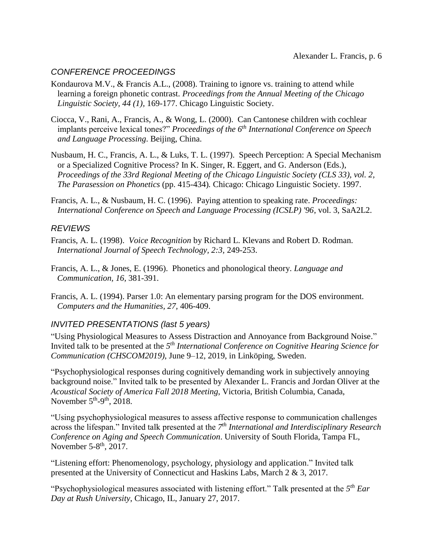#### *CONFERENCE PROCEEDINGS*

- Kondaurova M.V., & Francis A.L., (2008). Training to ignore vs. training to attend while learning a foreign phonetic contrast. *Proceedings from the Annual Meeting of the Chicago Linguistic Society, 44 (1),* 169-177. Chicago Linguistic Society.
- Ciocca, V., Rani, A., Francis, A., & Wong, L. (2000). Can Cantonese children with cochlear implants perceive lexical tones?" *Proceedings of the 6th International Conference on Speech and Language Processing*. Beijing, China.
- Nusbaum, H. C., Francis, A. L., & Luks, T. L. (1997). Speech Perception: A Special Mechanism or a Specialized Cognitive Process? In K. Singer, R. Eggert, and G. Anderson (Eds.), *Proceedings of the 33rd Regional Meeting of the Chicago Linguistic Society (CLS 33), vol. 2, The Parasession on Phonetics* (pp. 415-434)*.* Chicago: Chicago Linguistic Society. 1997.
- Francis, A. L., & Nusbaum, H. C. (1996). Paying attention to speaking rate. *Proceedings: International Conference on Speech and Language Processing (ICSLP) '96*, vol. 3, SaA2L2.

#### *REVIEWS*

- Francis, A. L. (1998). *Voice Recognition* by Richard L. Klevans and Robert D. Rodman. *International Journal of Speech Technology, 2:3,* 249-253.
- Francis, A. L., & Jones, E. (1996). Phonetics and phonological theory. *Language and Communication, 16,* 381-391.
- Francis, A. L. (1994). Parser 1.0: An elementary parsing program for the DOS environment. *Computers and the Humanities, 27,* 406-409.

#### *INVITED PRESENTATIONS (last 5 years)*

"Using Physiological Measures to Assess Distraction and Annoyance from Background Noise." Invited talk to be presented at the 5<sup>th</sup> International Conference on Cognitive Hearing Science for *Communication (CHSCOM2019)*, June 9–12, 2019, in Linköping, Sweden.

"Psychophysiological responses during cognitively demanding work in subjectively annoying background noise." Invited talk to be presented by Alexander L. Francis and Jordan Oliver at the *Acoustical Society of America Fall 2018 Meeting*, Victoria, British Columbia, Canada, November  $5<sup>th</sup>-9<sup>th</sup>$ , 2018.

"Using psychophysiological measures to assess affective response to communication challenges across the lifespan." Invited talk presented at the *7 th International and Interdisciplinary Research Conference on Aging and Speech Communication*. University of South Florida, Tampa FL, November 5- $8<sup>th</sup>$ , 2017.

"Listening effort: Phenomenology, psychology, physiology and application." Invited talk presented at the University of Connecticut and Haskins Labs, March 2 & 3, 2017.

"Psychophysiological measures associated with listening effort." Talk presented at the *5 th Ear Day at Rush University*, Chicago, IL, January 27, 2017.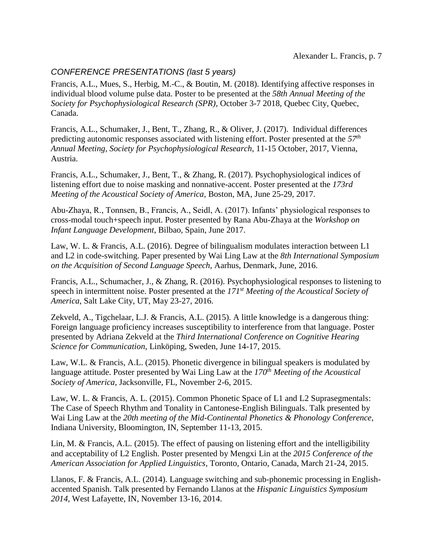#### *CONFERENCE PRESENTATIONS (last 5 years)*

Francis, A.L., Mues, S., Herbig, M.-C., & Boutin, M. (2018). Identifying affective responses in individual blood volume pulse data. Poster to be presented at the *58th Annual Meeting of the Society for Psychophysiological Research (SPR)*, October 3-7 2018, Quebec City, Quebec, Canada.

Francis, A.L., Schumaker, J., Bent, T., Zhang, R., & Oliver, J. (2017). Individual differences predicting autonomic responses associated with listening effort. Poster presented at the *57th Annual Meeting, Society for Psychophysiological Research*, 11-15 October, 2017, Vienna, Austria.

Francis, A.L., Schumaker, J., Bent, T., & Zhang, R. (2017). Psychophysiological indices of listening effort due to noise masking and nonnative-accent. Poster presented at the *173rd Meeting of the Acoustical Society of America*, Boston, MA, June 25-29, 2017.

Abu-Zhaya, R., Tonnsen, B., Francis, A., Seidl, A. (2017). Infants' physiological responses to cross-modal touch+speech input. Poster presented by Rana Abu-Zhaya at the *Workshop on Infant Language Development*, Bilbao, Spain, June 2017.

Law, W. L. & Francis, A.L. (2016). Degree of bilingualism modulates interaction between L1 and L2 in code-switching. Paper presented by Wai Ling Law at the *8th International Symposium on the Acquisition of Second Language Speech*, Aarhus, Denmark, June, 2016.

Francis, A.L., Schumacher, J., & Zhang, R. (2016). Psychophysiological responses to listening to speech in intermittent noise. Poster presented at the *171st Meeting of the Acoustical Society of America*, Salt Lake City, UT, May 23-27, 2016.

Zekveld, A., Tigchelaar, L.J. & Francis, A.L. (2015). A little knowledge is a dangerous thing: Foreign language proficiency increases susceptibility to interference from that language. Poster presented by Adriana Zekveld at the *Third International Conference on Cognitive Hearing Science for Communication*, Linköping, Sweden, June 14-17, 2015.

Law, W.L. & Francis, A.L. (2015). Phonetic divergence in bilingual speakers is modulated by language attitude. Poster presented by Wai Ling Law at the *170th Meeting of the Acoustical Society of America*, Jacksonville, FL, November 2-6, 2015.

Law, W. L. & Francis, A. L. (2015). Common Phonetic Space of L1 and L2 Suprasegmentals: The Case of Speech Rhythm and Tonality in Cantonese-English Bilinguals. Talk presented by Wai Ling Law at the *20th meeting of the Mid-Continental Phonetics & Phonology Conference*, Indiana University, Bloomington, IN, September 11-13, 2015.

Lin, M. & Francis, A.L. (2015). The effect of pausing on listening effort and the intelligibility and acceptability of L2 English. Poster presented by Mengxi Lin at the *2015 Conference of the American Association for Applied Linguistics*, Toronto, Ontario, Canada, March 21-24, 2015.

Llanos, F. & Francis, A.L. (2014). Language switching and sub-phonemic processing in Englishaccented Spanish. Talk presented by Fernando Llanos at the *Hispanic Linguistics Symposium 2014*, West Lafayette, IN, November 13-16, 2014.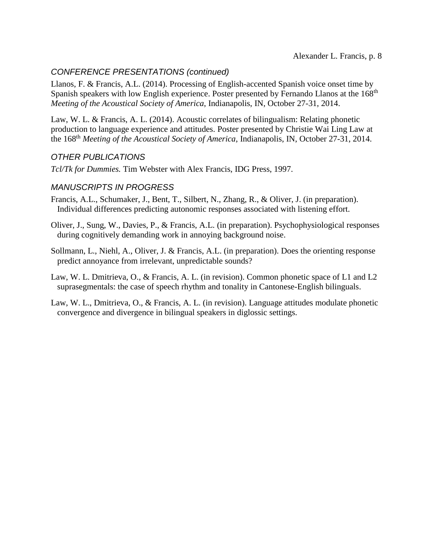#### *CONFERENCE PRESENTATIONS (continued)*

Llanos, F. & Francis, A.L. (2014). Processing of English-accented Spanish voice onset time by Spanish speakers with low English experience. Poster presented by Fernando Llanos at the 168<sup>th</sup> *Meeting of the Acoustical Society of America*, Indianapolis, IN, October 27-31, 2014.

Law, W. L. & Francis, A. L. (2014). Acoustic correlates of bilingualism: Relating phonetic production to language experience and attitudes. Poster presented by Christie Wai Ling Law at the 168th *Meeting of the Acoustical Society of America*, Indianapolis, IN, October 27-31, 2014.

#### *OTHER PUBLICATIONS*

*Tcl/Tk for Dummies.* Tim Webster with Alex Francis, IDG Press, 1997.

#### *MANUSCRIPTS IN PROGRESS*

- Francis, A.L., Schumaker, J., Bent, T., Silbert, N., Zhang, R., & Oliver, J. (in preparation). Individual differences predicting autonomic responses associated with listening effort.
- Oliver, J., Sung, W., Davies, P., & Francis, A.L. (in preparation). Psychophysiological responses during cognitively demanding work in annoying background noise.
- Sollmann, L., Niehl, A., Oliver, J. & Francis, A.L. (in preparation). Does the orienting response predict annoyance from irrelevant, unpredictable sounds?
- Law, W. L. Dmitrieva, O., & Francis, A. L. (in revision). Common phonetic space of L1 and L2 suprasegmentals: the case of speech rhythm and tonality in Cantonese-English bilinguals.
- Law, W. L., Dmitrieva, O., & Francis, A. L. (in revision). Language attitudes modulate phonetic convergence and divergence in bilingual speakers in diglossic settings.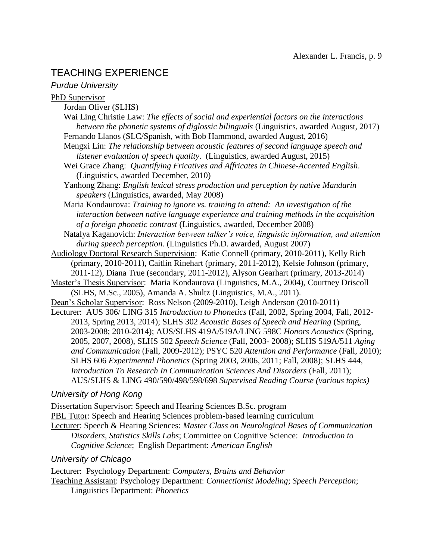## TEACHING EXPERIENCE

#### *Purdue University*

#### PhD Supervisor

- Jordan Oliver (SLHS)
- Wai Ling Christie Law: *The effects of social and experiential factors on the interactions between the phonetic systems of diglossic bilinguals* (Linguistics, awarded August, 2017)
- Fernando Llanos (SLC/Spanish, with Bob Hammond, awarded August, 2016)
- Mengxi Lin: *The relationship between acoustic features of second language speech and listener evaluation of speech quality*. (Linguistics, awarded August, 2015)
- Wei Grace Zhang: *Quantifying Fricatives and Affricates in Chinese-Accented English*. (Linguistics, awarded December, 2010)
- Yanhong Zhang: *English lexical stress production and perception by native Mandarin speakers* (Linguistics, awarded, May 2008)

Maria Kondaurova: *Training to ignore vs. training to attend: An investigation of the interaction between native language experience and training methods in the acquisition of a foreign phonetic contrast* (Linguistics, awarded, December 2008)

Natalya Kaganovich: *Interaction between talker's voice, linguistic information, and attention during speech perception.* (Linguistics Ph.D. awarded, August 2007)

Audiology Doctoral Research Supervision: Katie Connell (primary, 2010-2011), Kelly Rich (primary, 2010-2011), Caitlin Rinehart (primary, 2011-2012), Kelsie Johnson (primary, 2011-12), Diana True (secondary, 2011-2012), Alyson Gearhart (primary, 2013-2014)

- Master's Thesis Supervisor: Maria Kondaurova (Linguistics, M.A., 2004), Courtney Driscoll (SLHS, M.Sc., 2005), Amanda A. Shultz (Linguistics, M.A., 2011).
- Dean's Scholar Supervisor: Ross Nelson (2009-2010), Leigh Anderson (2010-2011)

Lecturer: AUS 306/ LING 315 *Introduction to Phonetics* (Fall, 2002, Spring 2004, Fall, 2012- 2013, Spring 2013, 2014); SLHS 302 *Acoustic Bases of Speech and Hearing* (Spring, 2003-2008; 2010-2014); AUS/SLHS 419A/519A/LING 598C *Honors Acoustics* (Spring, 2005, 2007, 2008), SLHS 502 *Speech Science* (Fall, 2003- 2008); SLHS 519A/511 *Aging and Communication* (Fall, 2009-2012); PSYC 520 *Attention and Performance* (Fall, 2010); SLHS 606 *Experimental Phonetics* (Spring 2003, 2006, 2011; Fall, 2008); SLHS 444, *Introduction To Research In Communication Sciences And Disorders* (Fall, 2011); AUS/SLHS & LING 490/590/498/598/698 *Supervised Reading Course (various topics)*

#### *University of Hong Kong*

Dissertation Supervisor: Speech and Hearing Sciences B.Sc. program

PBL Tutor: Speech and Hearing Sciences problem-based learning curriculum

Lecturer: Speech & Hearing Sciences: *Master Class on Neurological Bases of Communication Disorders, Statistics Skills Labs*; Committee on Cognitive Science: *Introduction to Cognitive Science*; English Department: *American English*

#### *University of Chicago*

Lecturer: Psychology Department: *Computers, Brains and Behavior* Teaching Assistant: Psychology Department: *Connectionist Modeling*; *Speech Perception*; Linguistics Department: *Phonetics*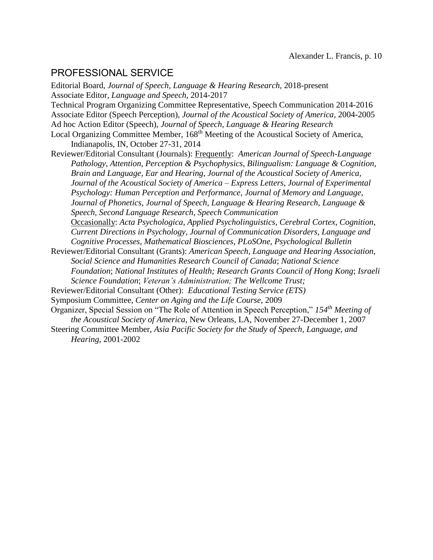## PROFESSIONAL SERVICE

Editorial Board, *Journal of Speech, Language & Hearing Research*, 2018-present Associate Editor, *Language and Speech*, 2014-2017 Technical Program Organizing Committee Representative, Speech Communication 2014-2016 Associate Editor (Speech Perception), *Journal of the Acoustical Society of America,* 2004-2005 Ad hoc Action Editor (Speech), *Journal of Speech, Language & Hearing Research* Local Organizing Committee Member, 168<sup>th</sup> Meeting of the Acoustical Society of America, Indianapolis, IN, October 27-31, 2014 Reviewer/Editorial Consultant (Journals): Frequently: *American Journal of Speech-Language Pathology*, *Attention, Perception & Psychophysics*, *Bilingualism: Language & Cognition*, *Brain and Language*, *Ear and Hearing*, *Journal of the Acoustical Society of America*, *Journal of the Acoustical Society of America – Express Letters*, *Journal of Experimental Psychology: Human Perception and Performance*, *Journal of Memory and Language*, *Journal of Phonetics*, *Journal of Speech, Language & Hearing Research*, *Language & Speech*, *Second Language Research*, *Speech Communication* Occasionally: *Acta Psychologica*, *Applied Psycholinguistics*, *Cerebral Cortex*, *Cognition*, *Current Directions in Psychology*, *Journal of Communication Disorders, Language and Cognitive Processes*, *Mathematical Biosciences*, *PLoSOne*, *Psychological Bulletin* Reviewer/Editorial Consultant (Grants): *American Speech, Language and Hearing Association, Social Science and Humanities Research Council of Canada*; *National Science Foundation*; *National Institutes of Health; Research Grants Council of Hong Kong*; *Israeli Science Foundation*; *Veteran's Administration; The Wellcome Trust;* 

- Reviewer/Editorial Consultant (Other): *Educational Testing Service (ETS)*
- Symposium Committee, *Center on Aging and the Life Course*, 2009

Organizer, Special Session on "The Role of Attention in Speech Perception," *154th Meeting of the Acoustical Society of America*, New Orleans, LA, November 27-December 1, 2007

Steering Committee Member, *Asia Pacific Society for the Study of Speech, Language, and Hearing*, 2001-2002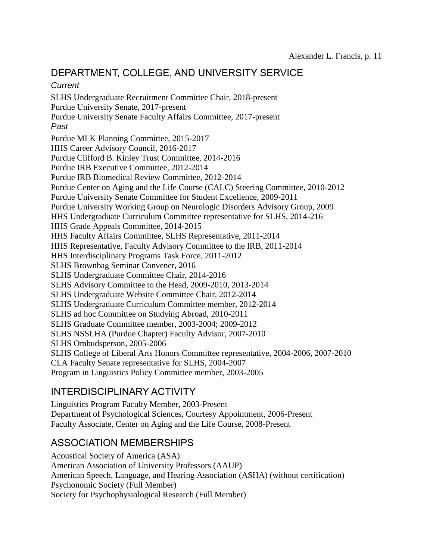## DEPARTMENT, COLLEGE, AND UNIVERSITY SERVICE

#### *Current*

SLHS Undergraduate Recruitment Committee Chair, 2018-present Purdue University Senate, 2017-present Purdue University Senate Faculty Affairs Committee, 2017-present *Past* Purdue MLK Planning Committee, 2015-2017 HHS Career Advisory Council, 2016-2017 Purdue Clifford B. Kinley Trust Committee, 2014-2016 Purdue IRB Executive Committee, 2012-2014 Purdue IRB Biomedical Review Committee, 2012-2014 Purdue Center on Aging and the Life Course (CALC) Steering Committee, 2010-2012 Purdue University Senate Committee for Student Excellence, 2009-2011 Purdue University Working Group on Neurologic Disorders Advisory Group, 2009 HHS Undergraduate Curriculum Committee representative for SLHS, 2014-216 HHS Grade Appeals Committee, 2014-2015 HHS Faculty Affairs Committee, SLHS Representative, 2011-2014 HHS Representative, Faculty Advisory Committee to the IRB, 2011-2014 HHS Interdisciplinary Programs Task Force, 2011-2012 SLHS Brownbag Seminar Convener, 2016 SLHS Undergraduate Committee Chair, 2014-2016 SLHS Advisory Committee to the Head, 2009-2010, 2013-2014 SLHS Undergraduate Website Committee Chair, 2012-2014 SLHS Undergraduate Curriculum Committee member, 2012-2014 SLHS ad hoc Committee on Studying Abroad, 2010-2011 SLHS Graduate Committee member, 2003-2004; 2009-2012 SLHS NSSLHA (Purdue Chapter) Faculty Advisor, 2007-2010 SLHS Ombudsperson, 2005-2006 SLHS College of Liberal Arts Honors Committee representative, 2004-2006, 2007-2010 CLA Faculty Senate representative for SLHS, 2004-2007 Program in Linguistics Policy Committee member, 2003-2005

## INTERDISCIPLINARY ACTIVITY

Linguistics Program Faculty Member, 2003-Present Department of Psychological Sciences, Courtesy Appointment, 2006-Present Faculty Associate, Center on Aging and the Life Course, 2008-Present

### ASSOCIATION MEMBERSHIPS

Acoustical Society of America (ASA) American Association of University Professors (AAUP) American Speech, Language, and Hearing Association (ASHA) (without certification) Psychonomic Society (Full Member) Society for Psychophysiological Research (Full Member)